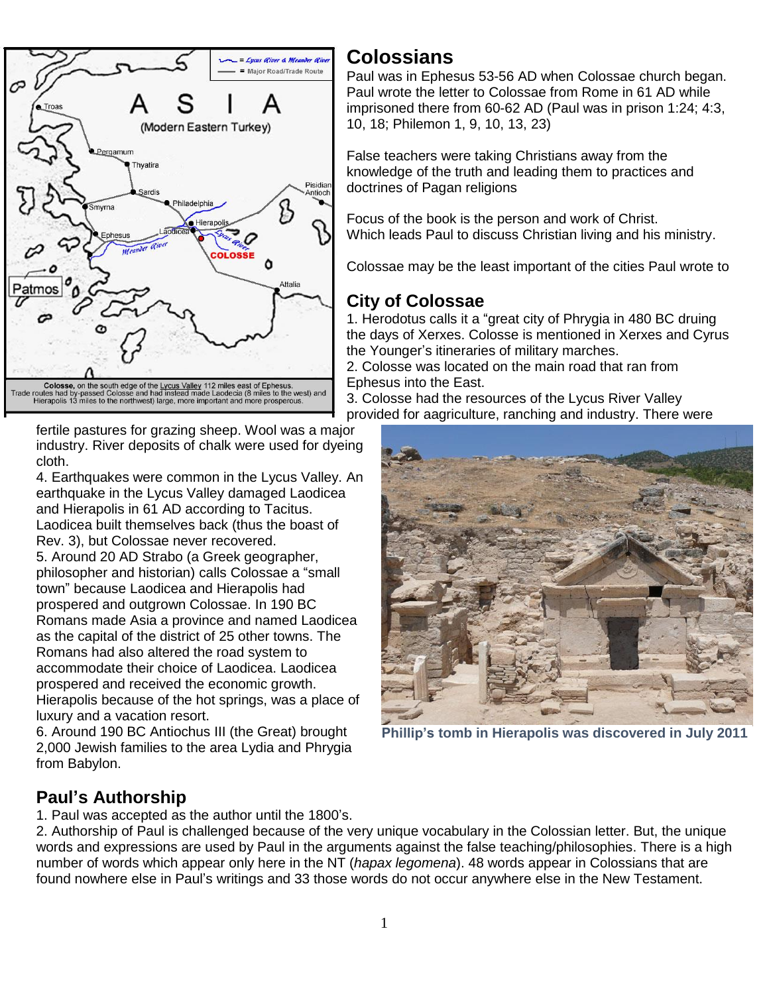

fertile pastures for grazing sheep. Wool was a major industry. River deposits of chalk were used for dyeing cloth.

4. Earthquakes were common in the Lycus Valley. An earthquake in the Lycus Valley damaged Laodicea and Hierapolis in 61 AD according to Tacitus. Laodicea built themselves back (thus the boast of Rev. 3), but Colossae never recovered.

5. Around 20 AD Strabo (a Greek geographer, philosopher and historian) calls Colossae a "small town" because Laodicea and Hierapolis had prospered and outgrown Colossae. In 190 BC Romans made Asia a province and named Laodicea as the capital of the district of 25 other towns. The Romans had also altered the road system to accommodate their choice of Laodicea. Laodicea prospered and received the economic growth. Hierapolis because of the hot springs, was a place of luxury and a vacation resort.

6. Around 190 BC Antiochus III (the Great) brought 2,000 Jewish families to the area Lydia and Phrygia from Babylon.

# **Colossians**

Paul was in Ephesus 53-56 AD when Colossae church began. Paul wrote the letter to Colossae from Rome in 61 AD while imprisoned there from 60-62 AD (Paul was in prison 1:24; 4:3, 10, 18; Philemon 1, 9, 10, 13, 23)

False teachers were taking Christians away from the knowledge of the truth and leading them to practices and doctrines of Pagan religions

Focus of the book is the person and work of Christ. Which leads Paul to discuss Christian living and his ministry.

Colossae may be the least important of the cities Paul wrote to

# **City of Colossae**

1. Herodotus calls it a "great city of Phrygia in 480 BC druing the days of Xerxes. Colosse is mentioned in Xerxes and Cyrus the Younger's itineraries of military marches.

2. Colosse was located on the main road that ran from Ephesus into the East.

3. Colosse had the resources of the Lycus River Valley provided for aagriculture, ranching and industry. There were



**Phillip's tomb in Hierapolis was discovered in July 2011**

# **Paul's Authorship**

1. Paul was accepted as the author until the 1800's.

2. Authorship of Paul is challenged because of the very unique vocabulary in the Colossian letter. But, the unique words and expressions are used by Paul in the arguments against the false teaching/philosophies. There is a high number of words which appear only here in the NT (*hapax legomena*). 48 words appear in Colossians that are found nowhere else in Paul's writings and 33 those words do not occur anywhere else in the New Testament.